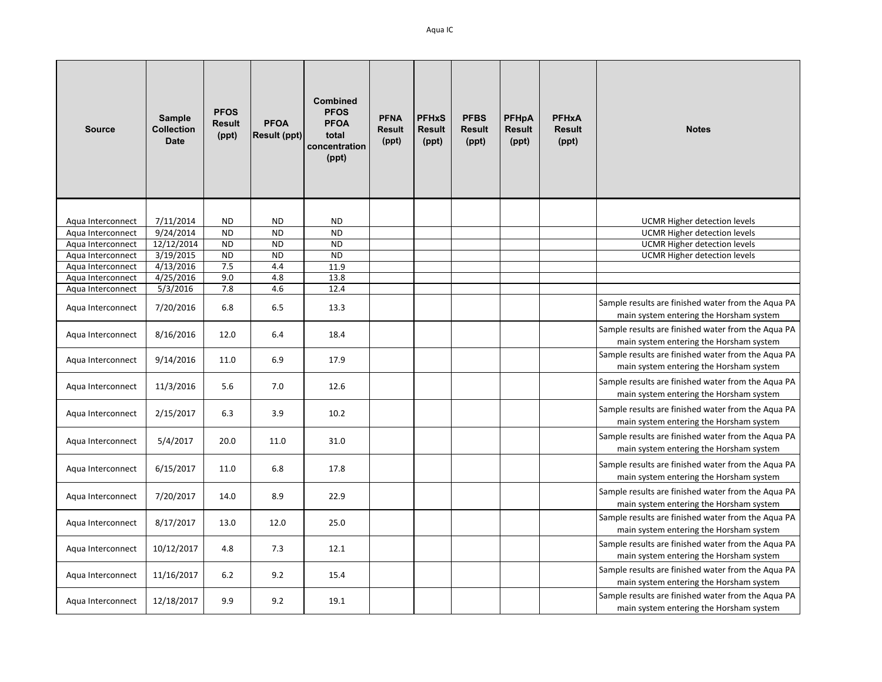| <b>Source</b>                          | Sample<br><b>Collection</b><br><b>Date</b> | <b>PFOS</b><br><b>Result</b><br>(ppt) | <b>PFOA</b><br><b>Result (ppt)</b> | <b>Combined</b><br><b>PFOS</b><br><b>PFOA</b><br>total<br>concentration<br>(ppt) | <b>PFNA</b><br><b>Result</b><br>(ppt) | <b>PFHxS</b><br><b>Result</b><br>(ppt) | <b>PFBS</b><br><b>Result</b><br>(ppt) | <b>PFHpA</b><br><b>Result</b><br>(ppt) | <b>PFHxA</b><br><b>Result</b><br>(ppt) | <b>Notes</b>                                                                                  |
|----------------------------------------|--------------------------------------------|---------------------------------------|------------------------------------|----------------------------------------------------------------------------------|---------------------------------------|----------------------------------------|---------------------------------------|----------------------------------------|----------------------------------------|-----------------------------------------------------------------------------------------------|
|                                        |                                            |                                       |                                    |                                                                                  |                                       |                                        |                                       |                                        |                                        |                                                                                               |
| Aqua Interconnect                      | 7/11/2014                                  | <b>ND</b>                             | <b>ND</b>                          | <b>ND</b>                                                                        |                                       |                                        |                                       |                                        |                                        | UCMR Higher detection levels                                                                  |
| Aqua Interconnect<br>Aqua Interconnect | 9/24/2014<br>12/12/2014                    | <b>ND</b><br><b>ND</b>                | <b>ND</b><br><b>ND</b>             | <b>ND</b><br><b>ND</b>                                                           |                                       |                                        |                                       |                                        |                                        | <b>UCMR Higher detection levels</b><br><b>UCMR Higher detection levels</b>                    |
| Aqua Interconnect                      | 3/19/2015                                  | <b>ND</b>                             | <b>ND</b>                          | <b>ND</b>                                                                        |                                       |                                        |                                       |                                        |                                        | <b>UCMR Higher detection levels</b>                                                           |
| Aqua Interconnect                      | 4/13/2016                                  | 7.5                                   | 4.4                                | 11.9                                                                             |                                       |                                        |                                       |                                        |                                        |                                                                                               |
| Aqua Interconnect                      | 4/25/2016                                  | 9.0                                   | 4.8                                | 13.8                                                                             |                                       |                                        |                                       |                                        |                                        |                                                                                               |
| Aqua Interconnect                      | 5/3/2016                                   | 7.8                                   | 4.6                                | 12.4                                                                             |                                       |                                        |                                       |                                        |                                        |                                                                                               |
| Aqua Interconnect                      | 7/20/2016                                  | 6.8                                   | 6.5                                | 13.3                                                                             |                                       |                                        |                                       |                                        |                                        | Sample results are finished water from the Aqua PA<br>main system entering the Horsham system |
| Aqua Interconnect                      | 8/16/2016                                  | 12.0                                  | 6.4                                | 18.4                                                                             |                                       |                                        |                                       |                                        |                                        | Sample results are finished water from the Aqua PA<br>main system entering the Horsham system |
| Aqua Interconnect                      | 9/14/2016                                  | 11.0                                  | 6.9                                | 17.9                                                                             |                                       |                                        |                                       |                                        |                                        | Sample results are finished water from the Aqua PA<br>main system entering the Horsham system |
| Aqua Interconnect                      | 11/3/2016                                  | 5.6                                   | 7.0                                | 12.6                                                                             |                                       |                                        |                                       |                                        |                                        | Sample results are finished water from the Aqua PA<br>main system entering the Horsham system |
| Aqua Interconnect                      | 2/15/2017                                  | 6.3                                   | 3.9                                | 10.2                                                                             |                                       |                                        |                                       |                                        |                                        | Sample results are finished water from the Aqua PA<br>main system entering the Horsham system |
| Aqua Interconnect                      | 5/4/2017                                   | 20.0                                  | 11.0                               | 31.0                                                                             |                                       |                                        |                                       |                                        |                                        | Sample results are finished water from the Aqua PA<br>main system entering the Horsham system |
| Aqua Interconnect                      | 6/15/2017                                  | 11.0                                  | 6.8                                | 17.8                                                                             |                                       |                                        |                                       |                                        |                                        | Sample results are finished water from the Aqua PA<br>main system entering the Horsham system |
| Aqua Interconnect                      | 7/20/2017                                  | 14.0                                  | 8.9                                | 22.9                                                                             |                                       |                                        |                                       |                                        |                                        | Sample results are finished water from the Aqua PA<br>main system entering the Horsham system |
| Aqua Interconnect                      | 8/17/2017                                  | 13.0                                  | 12.0                               | 25.0                                                                             |                                       |                                        |                                       |                                        |                                        | Sample results are finished water from the Aqua PA<br>main system entering the Horsham system |
| Aqua Interconnect                      | 10/12/2017                                 | 4.8                                   | 7.3                                | 12.1                                                                             |                                       |                                        |                                       |                                        |                                        | Sample results are finished water from the Aqua PA<br>main system entering the Horsham system |
| Aqua Interconnect                      | 11/16/2017                                 | 6.2                                   | 9.2                                | 15.4                                                                             |                                       |                                        |                                       |                                        |                                        | Sample results are finished water from the Aqua PA<br>main system entering the Horsham system |
| Aqua Interconnect                      | 12/18/2017                                 | 9.9                                   | 9.2                                | 19.1                                                                             |                                       |                                        |                                       |                                        |                                        | Sample results are finished water from the Aqua PA<br>main system entering the Horsham system |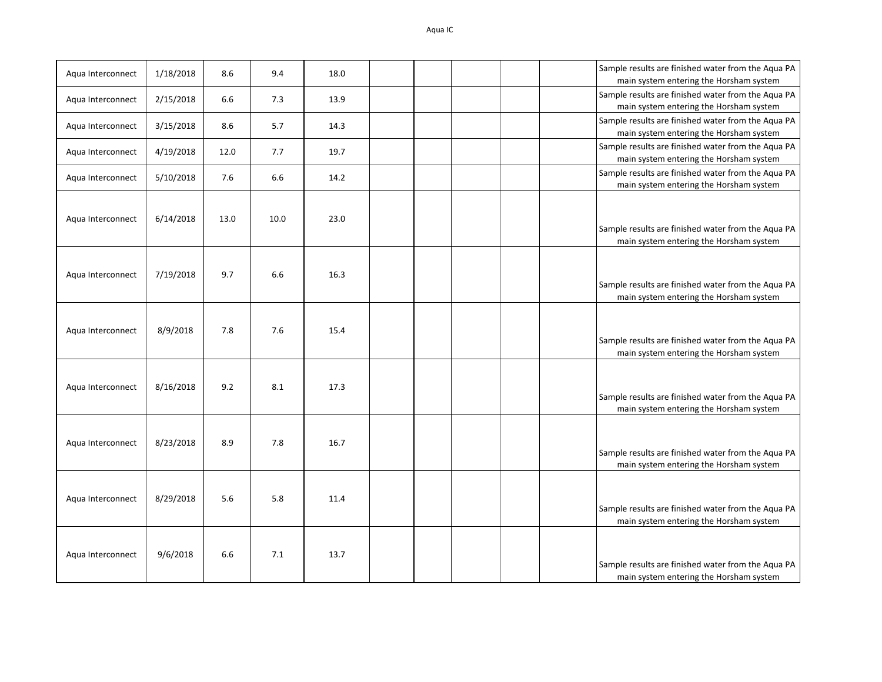| Aqua Interconnect | 1/18/2018 | 8.6  | 9.4  | 18.0 |  |  | Sample results are finished water from the Aqua PA<br>main system entering the Horsham system |
|-------------------|-----------|------|------|------|--|--|-----------------------------------------------------------------------------------------------|
| Aqua Interconnect | 2/15/2018 | 6.6  | 7.3  | 13.9 |  |  | Sample results are finished water from the Aqua PA<br>main system entering the Horsham system |
| Aqua Interconnect | 3/15/2018 | 8.6  | 5.7  | 14.3 |  |  | Sample results are finished water from the Aqua PA<br>main system entering the Horsham system |
| Aqua Interconnect | 4/19/2018 | 12.0 | 7.7  | 19.7 |  |  | Sample results are finished water from the Aqua PA<br>main system entering the Horsham system |
| Aqua Interconnect | 5/10/2018 | 7.6  | 6.6  | 14.2 |  |  | Sample results are finished water from the Aqua PA<br>main system entering the Horsham system |
| Aqua Interconnect | 6/14/2018 | 13.0 | 10.0 | 23.0 |  |  | Sample results are finished water from the Aqua PA<br>main system entering the Horsham system |
| Aqua Interconnect | 7/19/2018 | 9.7  | 6.6  | 16.3 |  |  | Sample results are finished water from the Aqua PA<br>main system entering the Horsham system |
| Aqua Interconnect | 8/9/2018  | 7.8  | 7.6  | 15.4 |  |  | Sample results are finished water from the Aqua PA<br>main system entering the Horsham system |
| Aqua Interconnect | 8/16/2018 | 9.2  | 8.1  | 17.3 |  |  | Sample results are finished water from the Aqua PA<br>main system entering the Horsham system |
| Aqua Interconnect | 8/23/2018 | 8.9  | 7.8  | 16.7 |  |  | Sample results are finished water from the Aqua PA<br>main system entering the Horsham system |
| Aqua Interconnect | 8/29/2018 | 5.6  | 5.8  | 11.4 |  |  | Sample results are finished water from the Aqua PA<br>main system entering the Horsham system |
| Aqua Interconnect | 9/6/2018  | 6.6  | 7.1  | 13.7 |  |  | Sample results are finished water from the Aqua PA<br>main system entering the Horsham system |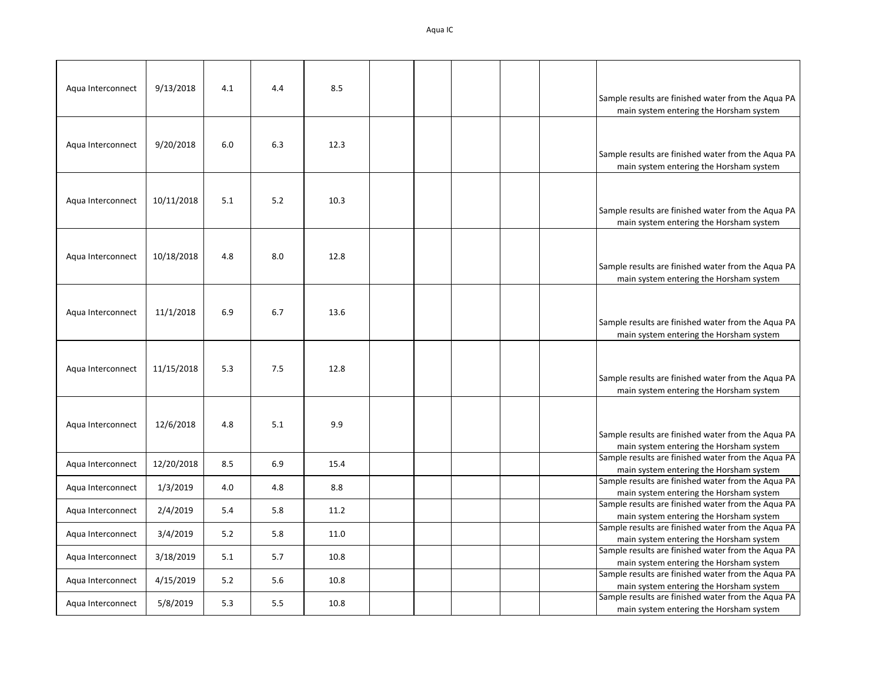| Aqua Interconnect | 9/13/2018  | 4.1 | 4.4 | 8.5  |  |  | Sample results are finished water from the Aqua PA<br>main system entering the Horsham system |
|-------------------|------------|-----|-----|------|--|--|-----------------------------------------------------------------------------------------------|
| Aqua Interconnect | 9/20/2018  | 6.0 | 6.3 | 12.3 |  |  | Sample results are finished water from the Aqua PA<br>main system entering the Horsham system |
| Aqua Interconnect | 10/11/2018 | 5.1 | 5.2 | 10.3 |  |  | Sample results are finished water from the Aqua PA<br>main system entering the Horsham system |
| Aqua Interconnect | 10/18/2018 | 4.8 | 8.0 | 12.8 |  |  | Sample results are finished water from the Aqua PA<br>main system entering the Horsham system |
| Aqua Interconnect | 11/1/2018  | 6.9 | 6.7 | 13.6 |  |  | Sample results are finished water from the Aqua PA<br>main system entering the Horsham system |
| Aqua Interconnect | 11/15/2018 | 5.3 | 7.5 | 12.8 |  |  | Sample results are finished water from the Aqua PA<br>main system entering the Horsham system |
| Aqua Interconnect | 12/6/2018  | 4.8 | 5.1 | 9.9  |  |  | Sample results are finished water from the Aqua PA<br>main system entering the Horsham system |
| Aqua Interconnect | 12/20/2018 | 8.5 | 6.9 | 15.4 |  |  | Sample results are finished water from the Aqua PA<br>main system entering the Horsham system |
| Aqua Interconnect | 1/3/2019   | 4.0 | 4.8 | 8.8  |  |  | Sample results are finished water from the Aqua PA<br>main system entering the Horsham system |
| Aqua Interconnect | 2/4/2019   | 5.4 | 5.8 | 11.2 |  |  | Sample results are finished water from the Aqua PA<br>main system entering the Horsham system |
| Aqua Interconnect | 3/4/2019   | 5.2 | 5.8 | 11.0 |  |  | Sample results are finished water from the Aqua PA<br>main system entering the Horsham system |
| Aqua Interconnect | 3/18/2019  | 5.1 | 5.7 | 10.8 |  |  | Sample results are finished water from the Aqua PA<br>main system entering the Horsham system |
| Aqua Interconnect | 4/15/2019  | 5.2 | 5.6 | 10.8 |  |  | Sample results are finished water from the Aqua PA<br>main system entering the Horsham system |
| Aqua Interconnect | 5/8/2019   | 5.3 | 5.5 | 10.8 |  |  | Sample results are finished water from the Aqua PA<br>main system entering the Horsham system |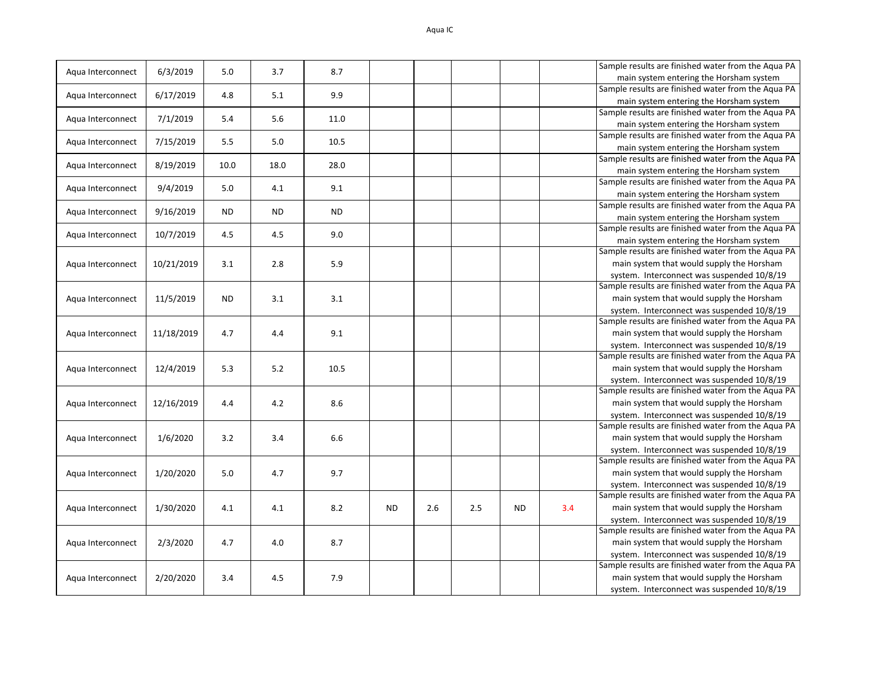| Aqua Interconnect | 6/3/2019   | 5.0       | 3.7  | 8.7       |           |     |     |     |     | Sample results are finished water from the Aqua PA |
|-------------------|------------|-----------|------|-----------|-----------|-----|-----|-----|-----|----------------------------------------------------|
|                   |            |           |      |           |           |     |     |     |     | main system entering the Horsham system            |
| Aqua Interconnect | 6/17/2019  | 4.8       | 5.1  | 9.9       |           |     |     |     |     | Sample results are finished water from the Aqua PA |
|                   |            |           |      |           |           |     |     |     |     | main system entering the Horsham system            |
| Agua Interconnect | 7/1/2019   | 5.4       | 5.6  | 11.0      |           |     |     |     |     | Sample results are finished water from the Aqua PA |
|                   |            |           |      |           |           |     |     |     |     | main system entering the Horsham system            |
| Aqua Interconnect | 7/15/2019  | 5.5       | 5.0  | 10.5      |           |     |     |     |     | Sample results are finished water from the Aqua PA |
|                   |            |           |      |           |           |     |     |     |     | main system entering the Horsham system            |
| Aqua Interconnect | 8/19/2019  | 10.0      | 18.0 | 28.0      |           |     |     |     |     | Sample results are finished water from the Aqua PA |
|                   |            |           |      |           |           |     |     |     |     | main system entering the Horsham system            |
| Aqua Interconnect | 9/4/2019   | 5.0       | 4.1  | 9.1       |           |     |     |     |     | Sample results are finished water from the Aqua PA |
|                   |            |           |      |           |           |     |     |     |     | main system entering the Horsham system            |
| Aqua Interconnect | 9/16/2019  | ND        | ND.  | <b>ND</b> |           |     |     |     |     | Sample results are finished water from the Aqua PA |
|                   |            |           |      |           |           |     |     |     |     | main system entering the Horsham system            |
| Aqua Interconnect | 10/7/2019  | 4.5       | 4.5  | 9.0       |           |     |     |     |     | Sample results are finished water from the Aqua PA |
|                   |            |           |      |           |           |     |     |     |     | main system entering the Horsham system            |
|                   |            |           |      |           |           |     |     |     |     | Sample results are finished water from the Aqua PA |
| Agua Interconnect | 10/21/2019 | 3.1       | 2.8  | 5.9       |           |     |     |     |     | main system that would supply the Horsham          |
|                   |            |           |      |           |           |     |     |     |     | system. Interconnect was suspended 10/8/19         |
|                   |            |           |      |           |           |     |     |     |     | Sample results are finished water from the Aqua PA |
| Aqua Interconnect | 11/5/2019  | <b>ND</b> | 3.1  | 3.1       |           |     |     |     |     | main system that would supply the Horsham          |
|                   |            |           |      |           |           |     |     |     |     | system. Interconnect was suspended 10/8/19         |
|                   |            |           |      |           |           |     |     |     |     | Sample results are finished water from the Aqua PA |
| Aqua Interconnect | 11/18/2019 | 4.7       | 4.4  | 9.1       |           |     |     |     |     | main system that would supply the Horsham          |
|                   |            |           |      |           |           |     |     |     |     | system. Interconnect was suspended 10/8/19         |
|                   |            |           |      |           |           |     |     |     |     | Sample results are finished water from the Aqua PA |
| Aqua Interconnect | 12/4/2019  | 5.3       | 5.2  | 10.5      |           |     |     |     |     | main system that would supply the Horsham          |
|                   |            |           |      |           |           |     |     |     |     | system. Interconnect was suspended 10/8/19         |
|                   |            |           |      |           |           |     |     |     |     | Sample results are finished water from the Aqua PA |
| Agua Interconnect | 12/16/2019 | 4.4       | 4.2  | 8.6       |           |     |     |     |     | main system that would supply the Horsham          |
|                   |            |           |      |           |           |     |     |     |     | system. Interconnect was suspended 10/8/19         |
|                   |            |           |      |           |           |     |     |     |     | Sample results are finished water from the Aqua PA |
| Aqua Interconnect | 1/6/2020   | 3.2       | 3.4  | 6.6       |           |     |     |     |     | main system that would supply the Horsham          |
|                   |            |           |      |           |           |     |     |     |     | system. Interconnect was suspended 10/8/19         |
|                   |            |           |      |           |           |     |     |     |     | Sample results are finished water from the Aqua PA |
| Aqua Interconnect | 1/20/2020  | 5.0       | 4.7  | 9.7       |           |     |     |     |     | main system that would supply the Horsham          |
|                   |            |           |      |           |           |     |     |     |     | system. Interconnect was suspended 10/8/19         |
|                   |            |           |      |           |           |     |     |     |     | Sample results are finished water from the Aqua PA |
| Aqua Interconnect | 1/30/2020  | 4.1       | 4.1  | 8.2       | <b>ND</b> | 2.6 | 2.5 | ND. | 3.4 | main system that would supply the Horsham          |
|                   |            |           |      |           |           |     |     |     |     | system. Interconnect was suspended 10/8/19         |
|                   |            |           |      |           |           |     |     |     |     | Sample results are finished water from the Aqua PA |
| Aqua Interconnect | 2/3/2020   | 4.7       | 4.0  | 8.7       |           |     |     |     |     | main system that would supply the Horsham          |
|                   |            |           |      |           |           |     |     |     |     | system. Interconnect was suspended 10/8/19         |
|                   |            |           |      |           |           |     |     |     |     | Sample results are finished water from the Aqua PA |
| Agua Interconnect | 2/20/2020  | 3.4       | 4.5  | 7.9       |           |     |     |     |     | main system that would supply the Horsham          |
|                   |            |           |      |           |           |     |     |     |     | system. Interconnect was suspended 10/8/19         |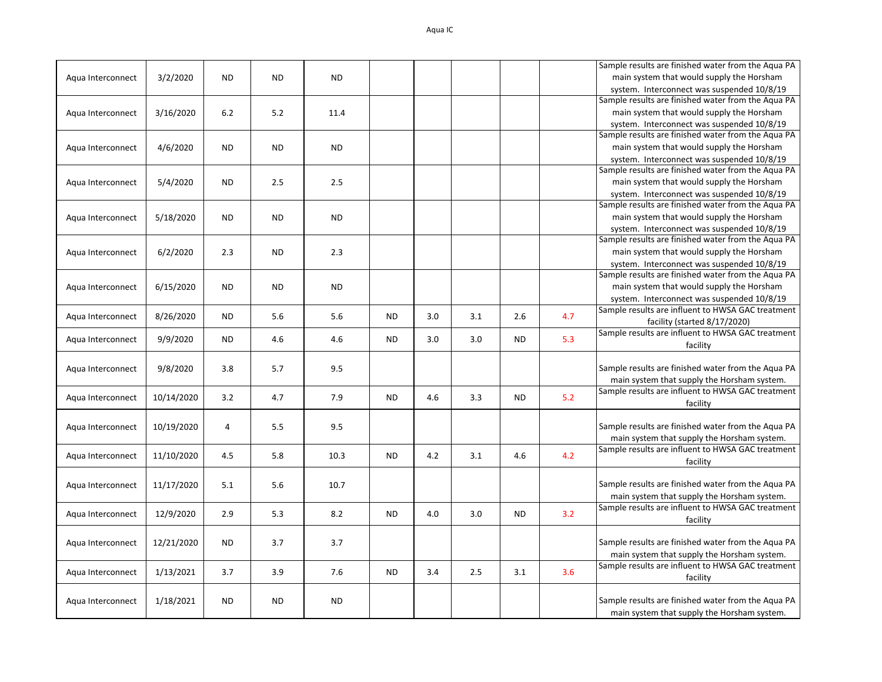|                   |            |                |           |           |           |     |     |           |     | Sample results are finished water from the Aqua PA                                               |
|-------------------|------------|----------------|-----------|-----------|-----------|-----|-----|-----------|-----|--------------------------------------------------------------------------------------------------|
| Aqua Interconnect | 3/2/2020   | <b>ND</b>      | <b>ND</b> | <b>ND</b> |           |     |     |           |     | main system that would supply the Horsham                                                        |
|                   |            |                |           |           |           |     |     |           |     | system. Interconnect was suspended 10/8/19                                                       |
|                   |            |                |           |           |           |     |     |           |     | Sample results are finished water from the Aqua PA                                               |
| Aqua Interconnect | 3/16/2020  | 6.2            | 5.2       | 11.4      |           |     |     |           |     | main system that would supply the Horsham                                                        |
|                   |            |                |           |           |           |     |     |           |     | system. Interconnect was suspended 10/8/19                                                       |
|                   |            |                |           |           |           |     |     |           |     | Sample results are finished water from the Aqua PA                                               |
| Aqua Interconnect | 4/6/2020   | <b>ND</b>      | <b>ND</b> | ND.       |           |     |     |           |     | main system that would supply the Horsham                                                        |
|                   |            |                |           |           |           |     |     |           |     | system. Interconnect was suspended 10/8/19                                                       |
|                   |            |                |           |           |           |     |     |           |     | Sample results are finished water from the Aqua PA                                               |
| Aqua Interconnect | 5/4/2020   | <b>ND</b>      | 2.5       | 2.5       |           |     |     |           |     | main system that would supply the Horsham                                                        |
|                   |            |                |           |           |           |     |     |           |     | system. Interconnect was suspended 10/8/19                                                       |
|                   |            |                |           |           |           |     |     |           |     | Sample results are finished water from the Aqua PA                                               |
| Aqua Interconnect | 5/18/2020  | <b>ND</b>      | <b>ND</b> | <b>ND</b> |           |     |     |           |     | main system that would supply the Horsham                                                        |
|                   |            |                |           |           |           |     |     |           |     |                                                                                                  |
|                   |            |                |           |           |           |     |     |           |     | system. Interconnect was suspended 10/8/19<br>Sample results are finished water from the Aqua PA |
|                   |            |                |           |           |           |     |     |           |     |                                                                                                  |
| Aqua Interconnect | 6/2/2020   | 2.3            | <b>ND</b> | 2.3       |           |     |     |           |     | main system that would supply the Horsham                                                        |
|                   |            |                |           |           |           |     |     |           |     | system. Interconnect was suspended 10/8/19                                                       |
|                   |            |                |           |           |           |     |     |           |     | Sample results are finished water from the Aqua PA                                               |
| Aqua Interconnect | 6/15/2020  | <b>ND</b>      | ND.       | <b>ND</b> |           |     |     |           |     | main system that would supply the Horsham                                                        |
|                   |            |                |           |           |           |     |     |           |     | system. Interconnect was suspended 10/8/19                                                       |
|                   | 8/26/2020  | <b>ND</b>      | 5.6       | 5.6       | <b>ND</b> | 3.0 | 3.1 | 2.6       | 4.7 | Sample results are influent to HWSA GAC treatment                                                |
| Aqua Interconnect |            |                |           |           |           |     |     |           |     | facility (started 8/17/2020)                                                                     |
|                   |            |                |           |           |           |     |     |           |     | Sample results are influent to HWSA GAC treatment                                                |
| Aqua Interconnect | 9/9/2020   | <b>ND</b>      | 4.6       | 4.6       | <b>ND</b> | 3.0 | 3.0 | <b>ND</b> | 5.3 | facility                                                                                         |
|                   |            |                |           |           |           |     |     |           |     |                                                                                                  |
| Aqua Interconnect | 9/8/2020   | 3.8            | 5.7       | 9.5       |           |     |     |           |     | Sample results are finished water from the Aqua PA                                               |
|                   |            |                |           |           |           |     |     |           |     | main system that supply the Horsham system.                                                      |
|                   |            |                |           |           |           |     |     |           |     | Sample results are influent to HWSA GAC treatment                                                |
| Aqua Interconnect | 10/14/2020 | 3.2            | 4.7       | 7.9       | <b>ND</b> | 4.6 | 3.3 | <b>ND</b> | 5.2 | facility                                                                                         |
|                   |            |                |           |           |           |     |     |           |     |                                                                                                  |
| Aqua Interconnect | 10/19/2020 | $\overline{4}$ | 5.5       | 9.5       |           |     |     |           |     | Sample results are finished water from the Aqua PA                                               |
|                   |            |                |           |           |           |     |     |           |     | main system that supply the Horsham system.                                                      |
|                   |            |                |           |           |           |     |     |           |     | Sample results are influent to HWSA GAC treatment                                                |
| Aqua Interconnect | 11/10/2020 | 4.5            | 5.8       | 10.3      | <b>ND</b> | 4.2 | 3.1 | 4.6       | 4.2 |                                                                                                  |
|                   |            |                |           |           |           |     |     |           |     | facility                                                                                         |
|                   |            |                |           |           |           |     |     |           |     |                                                                                                  |
| Aqua Interconnect | 11/17/2020 | 5.1            | 5.6       | 10.7      |           |     |     |           |     | Sample results are finished water from the Aqua PA                                               |
|                   |            |                |           |           |           |     |     |           |     | main system that supply the Horsham system.                                                      |
| Aqua Interconnect | 12/9/2020  | 2.9            | 5.3       | 8.2       | <b>ND</b> | 4.0 | 3.0 | <b>ND</b> | 3.2 | Sample results are influent to HWSA GAC treatment                                                |
|                   |            |                |           |           |           |     |     |           |     | facility                                                                                         |
|                   |            |                |           |           |           |     |     |           |     |                                                                                                  |
| Aqua Interconnect | 12/21/2020 | <b>ND</b>      | 3.7       | 3.7       |           |     |     |           |     | Sample results are finished water from the Aqua PA                                               |
|                   |            |                |           |           |           |     |     |           |     | main system that supply the Horsham system.                                                      |
|                   |            |                |           |           |           |     |     |           |     | Sample results are influent to HWSA GAC treatment                                                |
| Aqua Interconnect | 1/13/2021  | 3.7            | 3.9       | 7.6       | <b>ND</b> | 3.4 | 2.5 | 3.1       | 3.6 | facility                                                                                         |
|                   |            |                |           |           |           |     |     |           |     |                                                                                                  |
| Aqua Interconnect | 1/18/2021  | <b>ND</b>      | <b>ND</b> | <b>ND</b> |           |     |     |           |     | Sample results are finished water from the Aqua PA                                               |
|                   |            |                |           |           |           |     |     |           |     | main system that supply the Horsham system.                                                      |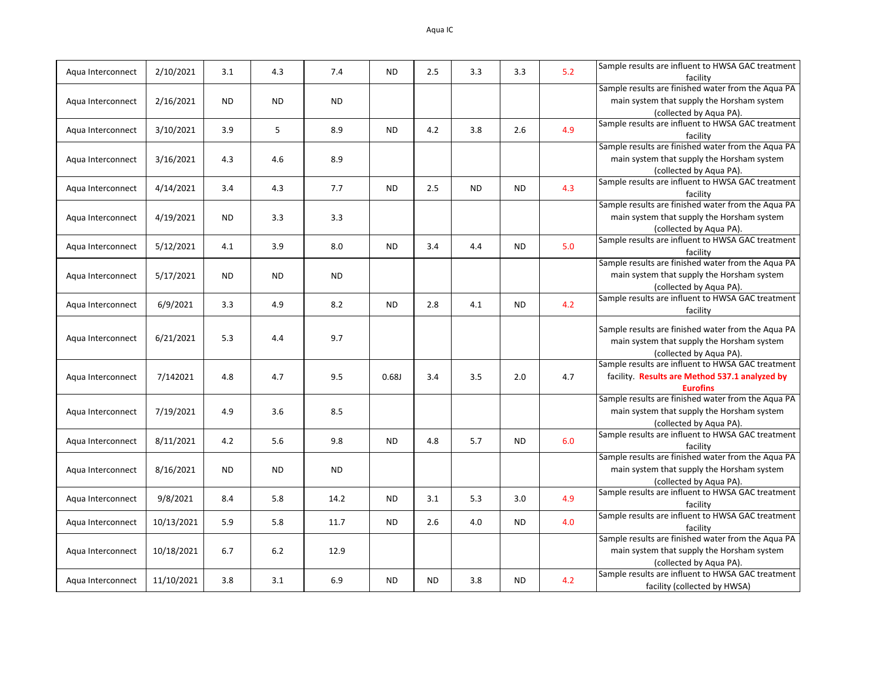| Aqua Interconnect | 2/10/2021  | 3.1       | 4.3       | 7.4       | <b>ND</b> | 2.5       | 3.3       | 3.3       | 5.2 | Sample results are influent to HWSA GAC treatment<br>facility |
|-------------------|------------|-----------|-----------|-----------|-----------|-----------|-----------|-----------|-----|---------------------------------------------------------------|
|                   |            |           |           |           |           |           |           |           |     | Sample results are finished water from the Aqua PA            |
|                   |            | <b>ND</b> |           |           |           |           |           |           |     | main system that supply the Horsham system                    |
| Aqua Interconnect | 2/16/2021  |           | <b>ND</b> | <b>ND</b> |           |           |           |           |     |                                                               |
|                   |            |           |           |           |           |           |           |           |     | (collected by Aqua PA).                                       |
| Aqua Interconnect | 3/10/2021  | 3.9       | 5         | 8.9       | <b>ND</b> | 4.2       | 3.8       | 2.6       | 4.9 | Sample results are influent to HWSA GAC treatment             |
|                   |            |           |           |           |           |           |           |           |     | facility                                                      |
|                   |            |           |           |           |           |           |           |           |     | Sample results are finished water from the Aqua PA            |
| Aqua Interconnect | 3/16/2021  | 4.3       | 4.6       | 8.9       |           |           |           |           |     | main system that supply the Horsham system                    |
|                   |            |           |           |           |           |           |           |           |     | (collected by Aqua PA).                                       |
|                   |            |           |           |           |           |           |           |           |     | Sample results are influent to HWSA GAC treatment             |
| Aqua Interconnect | 4/14/2021  | 3.4       | 4.3       | 7.7       | <b>ND</b> | 2.5       | <b>ND</b> | <b>ND</b> | 4.3 | facility                                                      |
|                   |            |           |           |           |           |           |           |           |     | Sample results are finished water from the Aqua PA            |
|                   |            |           |           |           |           |           |           |           |     |                                                               |
| Aqua Interconnect | 4/19/2021  | <b>ND</b> | 3.3       | 3.3       |           |           |           |           |     | main system that supply the Horsham system                    |
|                   |            |           |           |           |           |           |           |           |     | (collected by Agua PA).                                       |
|                   |            | 4.1       | 3.9       | 8.0       | <b>ND</b> | 3.4       | 4.4       | <b>ND</b> | 5.0 | Sample results are influent to HWSA GAC treatment             |
| Aqua Interconnect | 5/12/2021  |           |           |           |           |           |           |           |     | facility                                                      |
|                   |            |           |           |           |           |           |           |           |     | Sample results are finished water from the Aqua PA            |
| Aqua Interconnect | 5/17/2021  | <b>ND</b> | <b>ND</b> | <b>ND</b> |           |           |           |           |     | main system that supply the Horsham system                    |
|                   |            |           |           |           |           |           |           |           |     | (collected by Aqua PA).                                       |
|                   |            |           |           |           |           |           |           |           |     | Sample results are influent to HWSA GAC treatment             |
| Aqua Interconnect | 6/9/2021   | 3.3       | 4.9       | 8.2       | <b>ND</b> | 2.8       | 4.1       | <b>ND</b> | 4.2 |                                                               |
|                   |            |           |           |           |           |           |           |           |     | facility                                                      |
|                   |            |           |           |           |           |           |           |           |     | Sample results are finished water from the Aqua PA            |
| Aqua Interconnect | 6/21/2021  | 5.3       | 4.4       | 9.7       |           |           |           |           |     |                                                               |
|                   |            |           |           |           |           |           |           |           |     | main system that supply the Horsham system                    |
|                   |            |           |           |           |           |           |           |           |     | (collected by Aqua PA).                                       |
|                   |            |           |           |           |           |           |           |           |     | Sample results are influent to HWSA GAC treatment             |
| Aqua Interconnect | 7/142021   | 4.8       | 4.7       | 9.5       | 0.68J     | 3.4       | 3.5       | 2.0       | 4.7 | facility. Results are Method 537.1 analyzed by                |
|                   |            |           |           |           |           |           |           |           |     | <b>Eurofins</b>                                               |
|                   |            |           |           |           |           |           |           |           |     | Sample results are finished water from the Aqua PA            |
| Aqua Interconnect | 7/19/2021  | 4.9       | 3.6       | 8.5       |           |           |           |           |     | main system that supply the Horsham system                    |
|                   |            |           |           |           |           |           |           |           |     | (collected by Aqua PA).                                       |
|                   |            |           |           |           |           |           |           |           |     | Sample results are influent to HWSA GAC treatment             |
| Aqua Interconnect | 8/11/2021  | 4.2       | 5.6       | 9.8       | <b>ND</b> | 4.8       | 5.7       | <b>ND</b> | 6.0 | facility                                                      |
|                   |            |           |           |           |           |           |           |           |     | Sample results are finished water from the Aqua PA            |
|                   |            |           |           |           |           |           |           |           |     |                                                               |
| Aqua Interconnect | 8/16/2021  | <b>ND</b> | <b>ND</b> | <b>ND</b> |           |           |           |           |     | main system that supply the Horsham system                    |
|                   |            |           |           |           |           |           |           |           |     | (collected by Aqua PA).                                       |
| Aqua Interconnect | 9/8/2021   | 8.4       | 5.8       | 14.2      | <b>ND</b> | 3.1       | 5.3       | 3.0       | 4.9 | Sample results are influent to HWSA GAC treatment             |
|                   |            |           |           |           |           |           |           |           |     | facility                                                      |
|                   |            | 5.9       | 5.8       | 11.7      | <b>ND</b> | 2.6       | 4.0       | <b>ND</b> | 4.0 | Sample results are influent to HWSA GAC treatment             |
| Aqua Interconnect | 10/13/2021 |           |           |           |           |           |           |           |     | facility                                                      |
|                   |            |           |           |           |           |           |           |           |     | Sample results are finished water from the Aqua PA            |
| Aqua Interconnect | 10/18/2021 | 6.7       | 6.2       | 12.9      |           |           |           |           |     | main system that supply the Horsham system                    |
|                   |            |           |           |           |           |           |           |           |     | (collected by Aqua PA).                                       |
|                   |            |           |           |           |           |           |           |           |     | Sample results are influent to HWSA GAC treatment             |
| Aqua Interconnect | 11/10/2021 | 3.8       | 3.1       | 6.9       | <b>ND</b> | <b>ND</b> | 3.8       | <b>ND</b> | 4.2 |                                                               |
|                   |            |           |           |           |           |           |           |           |     | facility (collected by HWSA)                                  |